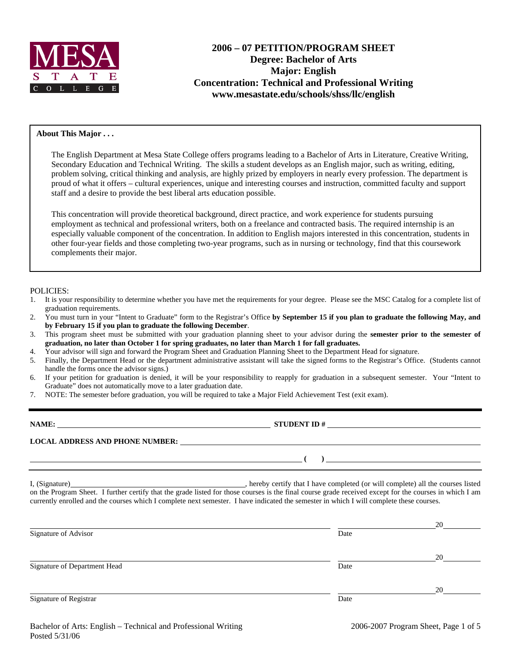

# **2006 – 07 PETITION/PROGRAM SHEET Degree: Bachelor of Arts Major: English Concentration: Technical and Professional Writing www.mesastate.edu/schools/shss/llc/english**

#### **About This Major . . .**

The English Department at Mesa State College offers programs leading to a Bachelor of Arts in Literature, Creative Writing, Secondary Education and Technical Writing. The skills a student develops as an English major, such as writing, editing, problem solving, critical thinking and analysis, are highly prized by employers in nearly every profession. The department is proud of what it offers – cultural experiences, unique and interesting courses and instruction, committed faculty and support staff and a desire to provide the best liberal arts education possible.

This concentration will provide theoretical background, direct practice, and work experience for students pursuing employment as technical and professional writers, both on a freelance and contracted basis. The required internship is an especially valuable component of the concentration. In addition to English majors interested in this concentration, students in other four-year fields and those completing two-year programs, such as in nursing or technology, find that this coursework complements their major.

#### POLICIES:

- 1. It is your responsibility to determine whether you have met the requirements for your degree. Please see the MSC Catalog for a complete list of graduation requirements.
- 2. You must turn in your "Intent to Graduate" form to the Registrar's Office **by September 15 if you plan to graduate the following May, and by February 15 if you plan to graduate the following December**.
- 3. This program sheet must be submitted with your graduation planning sheet to your advisor during the **semester prior to the semester of graduation, no later than October 1 for spring graduates, no later than March 1 for fall graduates.**
- 4. Your advisor will sign and forward the Program Sheet and Graduation Planning Sheet to the Department Head for signature.
- 5. Finally, the Department Head or the department administrative assistant will take the signed forms to the Registrar's Office. (Students cannot handle the forms once the advisor signs.)
- 6. If your petition for graduation is denied, it will be your responsibility to reapply for graduation in a subsequent semester. Your "Intent to Graduate" does not automatically move to a later graduation date.
- 7. NOTE: The semester before graduation, you will be required to take a Major Field Achievement Test (exit exam).

| NAME:                                  | <b>STUDENT ID#</b> |
|----------------------------------------|--------------------|
| <b>LOCAL ADDRESS AND PHONE NUMBER:</b> |                    |
|                                        |                    |

I, (Signature) , hereby certify that I have completed (or will complete) all the courses listed on the Program Sheet. I further certify that the grade listed for those courses is the final course grade received except for the courses in which I am currently enrolled and the courses which I complete next semester. I have indicated the semester in which I will complete these courses.

|                              |      | 20 |
|------------------------------|------|----|
| Signature of Advisor         | Date |    |
|                              |      | 20 |
| Signature of Department Head | Date |    |
|                              |      | 20 |
| Signature of Registrar       | Date |    |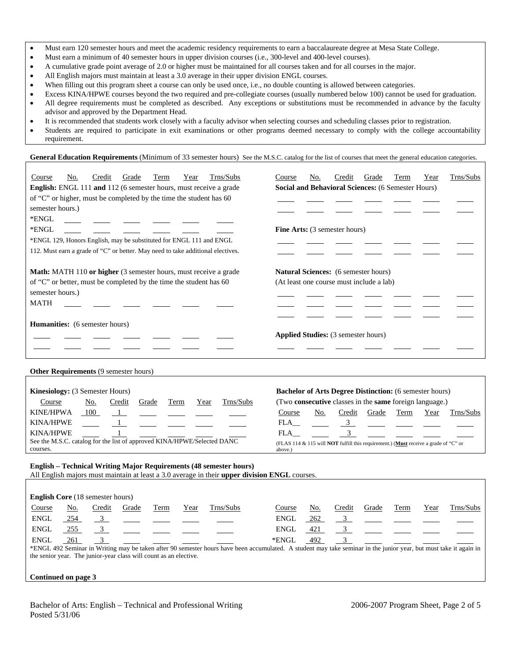- Must earn 120 semester hours and meet the academic residency requirements to earn a baccalaureate degree at Mesa State College.
- Must earn a minimum of 40 semester hours in upper division courses (i.e., 300-level and 400-level courses).
- A cumulative grade point average of 2.0 or higher must be maintained for all courses taken and for all courses in the major.
- All English majors must maintain at least a 3.0 average in their upper division ENGL courses.
- When filling out this program sheet a course can only be used once, i.e., no double counting is allowed between categories.
- Excess KINA/HPWE courses beyond the two required and pre-collegiate courses (usually numbered below 100) cannot be used for graduation. • All degree requirements must be completed as described. Any exceptions or substitutions must be recommended in advance by the faculty advisor and approved by the Department Head.
- It is recommended that students work closely with a faculty advisor when selecting courses and scheduling classes prior to registration.
- Students are required to participate in exit examinations or other programs deemed necessary to comply with the college accountability requirement.

General Education Requirements (Minimum of 33 semester hours) See the M.S.C. catalog for the list of courses that meet the general education categories.

| Trns/Subs<br>Course<br>Credit<br>Grade<br>No.<br>Term<br>Year<br>English: ENGL 111 and 112 (6 semester hours, must receive a grade<br>of "C" or higher, must be completed by the time the student has 60<br>semester hours.)<br>*ENGL<br>*ENGL<br>*ENGL 129, Honors English, may be substituted for ENGL 111 and ENGL<br>112. Must earn a grade of "C" or better. May need to take additional electives. | Trns/Subs<br>Credit<br>Grade<br>Term<br>Course<br>No.<br>Year<br>Social and Behavioral Sciences: (6 Semester Hours)<br><b>Fine Arts:</b> (3 semester hours)                                                                                                                                                                                              |
|----------------------------------------------------------------------------------------------------------------------------------------------------------------------------------------------------------------------------------------------------------------------------------------------------------------------------------------------------------------------------------------------------------|----------------------------------------------------------------------------------------------------------------------------------------------------------------------------------------------------------------------------------------------------------------------------------------------------------------------------------------------------------|
| Math: MATH 110 or higher (3 semester hours, must receive a grade<br>of "C" or better, must be completed by the time the student has 60<br>semester hours.)<br><b>MATH</b>                                                                                                                                                                                                                                | <b>Natural Sciences:</b> (6 semester hours)<br>(At least one course must include a lab)                                                                                                                                                                                                                                                                  |
| Humanities: (6 semester hours)                                                                                                                                                                                                                                                                                                                                                                           | Applied Studies: (3 semester hours)                                                                                                                                                                                                                                                                                                                      |
| Other Requirements (9 semester hours)                                                                                                                                                                                                                                                                                                                                                                    |                                                                                                                                                                                                                                                                                                                                                          |
| Kinesiology: (3 Semester Hours)<br>Trns/Subs<br>Course<br><u>No.</u><br>Credit<br>Grade<br>Term<br>Year<br><b>KINE/HPWA</b><br>100<br><b>KINA/HPWE</b><br><b>KINA/HPWE</b><br>See the M.S.C. catalog for the list of approved KINA/HPWE/Selected DANC<br>courses.                                                                                                                                        | <b>Bachelor of Arts Degree Distinction:</b> (6 semester hours)<br>(Two consecutive classes in the same foreign language.)<br>Trns/Subs<br>Course<br>No.<br>Credit<br>Term<br>Grade<br>Year<br>$FLA$ <sub>__</sub><br>3<br>$\overline{3}$<br>FLA<br>(FLAS 114 & 115 will <b>NOT</b> fulfill this requirement.) (Must receive a grade of "C" or<br>above.) |
| <b>English – Technical Writing Major Requirements (48 semester hours)</b><br>All English majors must maintain at least a 3.0 average in their upper division ENGL courses.                                                                                                                                                                                                                               |                                                                                                                                                                                                                                                                                                                                                          |
| English Core (18 semester hours)                                                                                                                                                                                                                                                                                                                                                                         |                                                                                                                                                                                                                                                                                                                                                          |
| Credit<br>Trns/Subs<br>Course<br>No.<br>Grade<br>Term<br>Year<br><b>ENGL</b><br>254<br>$\overline{3}$<br>3 <sup>7</sup><br><b>ENGL</b><br>255<br><b>ENGL</b><br>3<br>261                                                                                                                                                                                                                                 | Trns/Subs<br>Credit<br>Grade<br>Course<br>No.<br>Term<br>Year<br><b>ENGL</b><br>262<br>3 <sup>7</sup><br>3 <sup>7</sup><br>421<br><b>ENGL</b><br>3<br>*ENGL<br>492                                                                                                                                                                                       |
| *ENGL 492 Seminar in Writing may be taken after 90 semester hours have been accumulated. A student may take seminar in the junior year, but must take it again in<br>the senior year. The junior-year class will count as an elective.<br>Continued on page 3                                                                                                                                            |                                                                                                                                                                                                                                                                                                                                                          |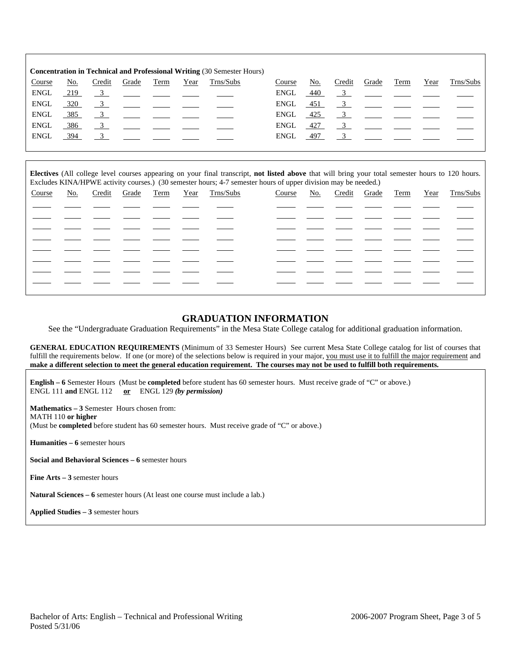| <b>Concentration in Technical and Professional Writing (30 Semester Hours)</b> |            |        |                                                                                                                                                                                                                                                                                                                     |      |      |           |        |        |        |       |                                                                                                                                                                                                                                                                                                                     |      |                                                                       |
|--------------------------------------------------------------------------------|------------|--------|---------------------------------------------------------------------------------------------------------------------------------------------------------------------------------------------------------------------------------------------------------------------------------------------------------------------|------|------|-----------|--------|--------|--------|-------|---------------------------------------------------------------------------------------------------------------------------------------------------------------------------------------------------------------------------------------------------------------------------------------------------------------------|------|-----------------------------------------------------------------------|
| Course                                                                         | <u>No.</u> | Credit | Grade                                                                                                                                                                                                                                                                                                               | Term | Year | Trns/Subs | Course | No.    | Credit | Grade | Term                                                                                                                                                                                                                                                                                                                | Year | Trns/Subs                                                             |
| <b>ENGL</b>                                                                    | 219        |        | <u>3</u> ____ ___ ___ ___                                                                                                                                                                                                                                                                                           |      |      |           | ENGL   | 440    |        |       |                                                                                                                                                                                                                                                                                                                     |      | $\frac{3}{2}$ $\frac{1}{2}$ $\frac{1}{2}$ $\frac{1}{2}$ $\frac{1}{2}$ |
| ENGL                                                                           | 320        |        | $\frac{3}{2}$ $\frac{1}{2}$ $\frac{1}{2}$ $\frac{1}{2}$ $\frac{1}{2}$                                                                                                                                                                                                                                               |      |      |           | ENGL   | 451    |        |       | $\frac{3}{2}$ $\frac{1}{2}$ $\frac{1}{2}$ $\frac{1}{2}$                                                                                                                                                                                                                                                             |      |                                                                       |
| ENGL                                                                           | 385        |        | $\frac{3}{2}$ $\frac{3}{2}$ $\frac{3}{2}$ $\frac{3}{2}$ $\frac{3}{2}$ $\frac{3}{2}$ $\frac{3}{2}$ $\frac{3}{2}$ $\frac{3}{2}$ $\frac{3}{2}$ $\frac{3}{2}$ $\frac{3}{2}$ $\frac{3}{2}$ $\frac{3}{2}$ $\frac{3}{2}$ $\frac{3}{2}$ $\frac{3}{2}$ $\frac{3}{2}$ $\frac{3}{2}$ $\frac{3}{2}$ $\frac{3}{2}$ $\frac{3}{2}$ |      |      |           | ENGL   | $-425$ |        |       | $\frac{3}{2}$ $\frac{1}{2}$ $\frac{1}{2}$ $\frac{1}{2}$ $\frac{1}{2}$                                                                                                                                                                                                                                               |      |                                                                       |
| <b>ENGL</b>                                                                    | 386        |        | $\frac{3}{2}$ $\frac{3}{2}$ $\frac{3}{2}$ $\frac{3}{2}$ $\frac{3}{2}$ $\frac{3}{2}$ $\frac{3}{2}$ $\frac{3}{2}$ $\frac{3}{2}$ $\frac{3}{2}$ $\frac{3}{2}$ $\frac{3}{2}$ $\frac{3}{2}$ $\frac{3}{2}$ $\frac{3}{2}$ $\frac{3}{2}$ $\frac{3}{2}$ $\frac{3}{2}$ $\frac{3}{2}$ $\frac{3}{2}$ $\frac{3}{2}$ $\frac{3}{2}$ |      |      |           | ENGL   | 427    |        |       | $\frac{3}{2}$ $\frac{3}{2}$ $\frac{3}{2}$ $\frac{3}{2}$ $\frac{3}{2}$ $\frac{3}{2}$ $\frac{3}{2}$ $\frac{3}{2}$ $\frac{3}{2}$ $\frac{3}{2}$ $\frac{3}{2}$ $\frac{3}{2}$ $\frac{3}{2}$ $\frac{3}{2}$ $\frac{3}{2}$ $\frac{3}{2}$ $\frac{3}{2}$ $\frac{3}{2}$ $\frac{3}{2}$ $\frac{3}{2}$ $\frac{3}{2}$ $\frac{3}{2}$ |      |                                                                       |
| ENGL                                                                           | 394        |        | $\overline{3}$                                                                                                                                                                                                                                                                                                      |      |      |           | ENGL   | 497    |        |       | $\overline{3}$                                                                                                                                                                                                                                                                                                      |      |                                                                       |
|                                                                                |            |        |                                                                                                                                                                                                                                                                                                                     |      |      |           |        |        |        |       |                                                                                                                                                                                                                                                                                                                     |      |                                                                       |

**Electives** (All college level courses appearing on your final transcript, **not listed above** that will bring your total semester hours to 120 hours. Excludes KINA/HPWE activity courses.) (30 semester hours; 4-7 semester hours of upper division may be needed.)

| Course |  |  | No. Credit Grade Term Year Trns/Subs | Course |  |  | No. Credit Grade Term Year Trns/Subs |
|--------|--|--|--------------------------------------|--------|--|--|--------------------------------------|
|        |  |  |                                      |        |  |  |                                      |
|        |  |  |                                      |        |  |  |                                      |
|        |  |  |                                      |        |  |  |                                      |
|        |  |  |                                      |        |  |  |                                      |
|        |  |  |                                      |        |  |  |                                      |
|        |  |  |                                      |        |  |  |                                      |
|        |  |  |                                      |        |  |  |                                      |
|        |  |  |                                      |        |  |  |                                      |
|        |  |  |                                      |        |  |  |                                      |

### **GRADUATION INFORMATION**

See the "Undergraduate Graduation Requirements" in the Mesa State College catalog for additional graduation information.

**GENERAL EDUCATION REQUIREMENTS** (Minimum of 33 Semester Hours) See current Mesa State College catalog for list of courses that fulfill the requirements below. If one (or more) of the selections below is required in your major, you must use it to fulfill the major requirement and **make a different selection to meet the general education requirement. The courses may not be used to fulfill both requirements.**

**English – 6** Semester Hours (Must be **completed** before student has 60 semester hours. Must receive grade of "C" or above.) ENGL 111 **and** ENGL 112 **or** ENGL 129 *(by permission)*

**Mathematics – 3** Semester Hours chosen from: MATH 110 **or higher** (Must be **completed** before student has 60 semester hours. Must receive grade of "C" or above.)

**Humanities – 6** semester hours

**Social and Behavioral Sciences – 6** semester hours

**Fine Arts – 3** semester hours

**Natural Sciences – 6** semester hours (At least one course must include a lab.)

**Applied Studies – 3** semester hours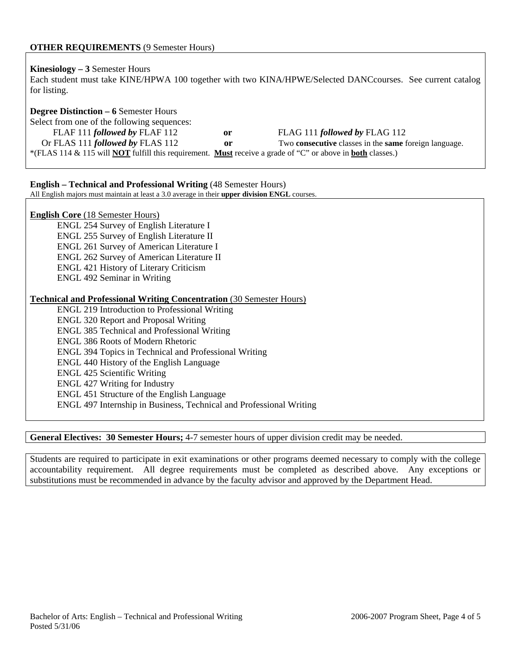## **Kinesiology – 3** Semester Hours

Each student must take KINE/HPWA 100 together with two KINA/HPWE/Selected DANCcourses. See current catalog for listing.

# **Degree Distinction – 6** Semester Hours

| Select from one of the following sequences:                                                                                     |    |                                                                     |
|---------------------------------------------------------------------------------------------------------------------------------|----|---------------------------------------------------------------------|
| FLAF 111 followed by FLAF 112                                                                                                   | 0r | FLAG 111 <i>followed by</i> FLAG 112                                |
| Or FLAS 111 <i>followed by</i> FLAS 112                                                                                         | or | Two <b>consecutive</b> classes in the <b>same</b> foreign language. |
| *(FLAS 114 & 115 will <b>NOT</b> fulfill this requirement. <b>Must</b> receive a grade of "C" or above in <b>both</b> classes.) |    |                                                                     |

### **English – Technical and Professional Writing** (48 Semester Hours)

All English majors must maintain at least a 3.0 average in their **upper division ENGL** courses.

### **English Core** (18 Semester Hours)

 ENGL 254 Survey of English Literature I ENGL 255 Survey of English Literature II ENGL 261 Survey of American Literature I ENGL 262 Survey of American Literature II ENGL 421 History of Literary Criticism ENGL 492 Seminar in Writing

#### **Technical and Professional Writing Concentration** (30 Semester Hours)

ENGL 219 Introduction to Professional Writing ENGL 320 Report and Proposal Writing ENGL 385 Technical and Professional Writing ENGL 386 Roots of Modern Rhetoric ENGL 394 Topics in Technical and Professional Writing ENGL 440 History of the English Language ENGL 425 Scientific Writing ENGL 427 Writing for Industry ENGL 451 Structure of the English Language ENGL 497 Internship in Business, Technical and Professional Writing

### **General Electives: 30 Semester Hours;** 4-7 semester hours of upper division credit may be needed.

Students are required to participate in exit examinations or other programs deemed necessary to comply with the college accountability requirement. All degree requirements must be completed as described above. Any exceptions or substitutions must be recommended in advance by the faculty advisor and approved by the Department Head.